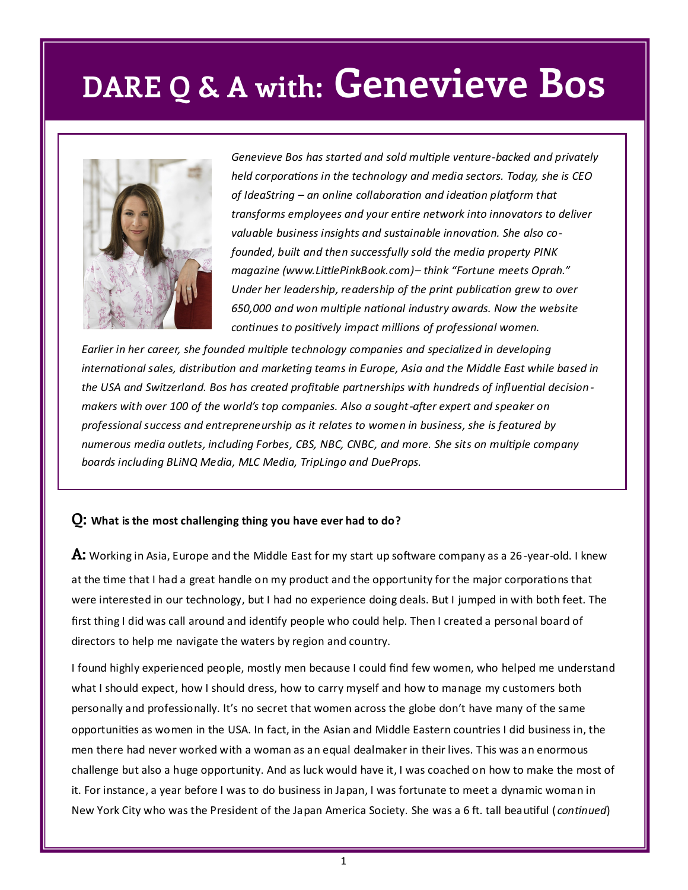# **DARE Q & A with: Genevieve Bos**



*Genevieve Bos has started and sold multiple venture-backed and privately held corporations in the technology and media sectors. Today, she is CEO of IdeaString – an online collaboration and ideation platform that transforms employees and your entire network into innovators to deliver valuable business insights and sustainable innovation. She also cofounded, built and then successfully sold the media property PINK magazine (www.LittlePinkBook.com)– think "Fortune meets Oprah." Under her leadership, readership of the print publication grew to over 650,000 and won multiple national industry awards. Now the website continues to positively impact millions of professional women.*

*Earlier in her career, she founded multiple technology companies and specialized in developing international sales, distribution and marketing teams in Europe, Asia and the Middle East while based in the USA and Switzerland. Bos has created profitable partnerships with hundreds of influential decisionmakers with over 100 of the world's top companies. Also a sought-after expert and speaker on professional success and entrepreneurship as it relates to women in business, she is featured by numerous media outlets, including Forbes, CBS, NBC, CNBC, and more. She sits on multiple company boards including BLiNQ Media, MLC Media, TripLingo and DueProps.* 

#### **Q: What is the most challenging thing you have ever had to do?**

**A:** Working in Asia, Europe and the Middle East for my start up software company as a 26-year-old. I knew at the time that I had a great handle on my product and the opportunity for the major corporations that were interested in our technology, but I had no experience doing deals. But I jumped in with both feet. The first thing I did was call around and identify people who could help. Then I created a personal board of directors to help me navigate the waters by region and country.

I found highly experienced people, mostly men because I could find few women, who helped me understand what I should expect, how I should dress, how to carry myself and how to manage my customers both personally and professionally. It's no secret that women across the globe don't have many of the same opportunities as women in the USA. In fact, in the Asian and Middle Eastern countries I did business in, the men there had never worked with a woman as an equal dealmaker in their lives. This was an enormous challenge but also a huge opportunity. And as luck would have it, I was coached on how to make the most of it. For instance, a year before I was to do business in Japan, I was fortunate to meet a dynamic woman in New York City who was the President of the Japan America Society. She was a 6 ft. tall beautiful ( *continued*)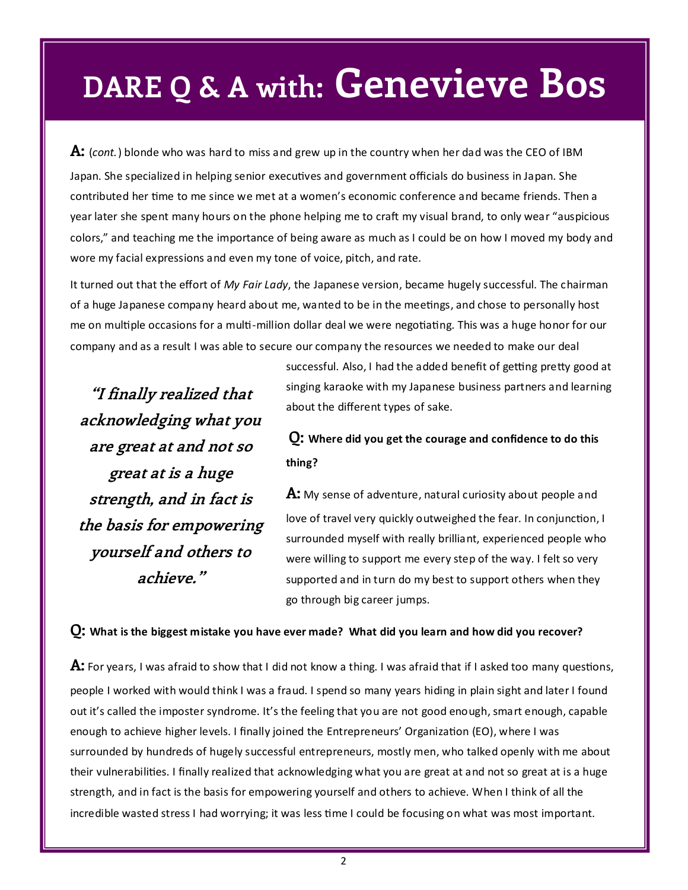# **DARE Q & A with: Genevieve Bos**

**A:** (*cont.*) blonde who was hard to miss and grew up in the country when her dad was the CEO of IBM Japan. She specialized in helping senior executives and government officials do business in Japan. She contributed her time to me since we met at a women's economic conference and became friends. Then a year later she spent many hours on the phone helping me to craft my visual brand, to only wear "auspicious colors," and teaching me the importance of being aware as much as I could be on how I moved my body and wore my facial expressions and even my tone of voice, pitch, and rate.

It turned out that the effort of *My Fair Lady*, the Japanese version, became hugely successful. The chairman of a huge Japanese company heard about me, wanted to be in the meetings, and chose to personally host me on multiple occasions for a multi-million dollar deal we were negotiating. This was a huge honor for our company and as a result I was able to secure our company the resources we needed to make our deal

**"I finally realized that acknowledging what you are great at and not so great at is a huge strength, and in fact is the basis for empowering yourself and others to achieve."**

successful. Also, I had the added benefit of getting pretty good at singing karaoke with my Japanese business partners and learning about the different types of sake.

### **Q: Where did you get the courage and confidence to do this thing?**

**A:** My sense of adventure, natural curiosity about people and love of travel very quickly outweighed the fear. In conjunction, I surrounded myself with really brilliant, experienced people who were willing to support me every step of the way. I felt so very supported and in turn do my best to support others when they go through big career jumps.

#### **Q: What is the biggest mistake you have ever made? What did you learn and how did you recover?**

**A:** For years, I was afraid to show that I did not know a thing. I was afraid that if I asked too many questions, people I worked with would think I was a fraud. I spend so many years hiding in plain sight and later I found out it's called the imposter syndrome. It's the feeling that you are not good enough, smart enough, capable enough to achieve higher levels. I finally joined the Entrepreneurs' Organization (EO), where I was surrounded by hundreds of hugely successful entrepreneurs, mostly men, who talked openly with me about their vulnerabilities. I finally realized that acknowledging what you are great at and not so great at is a huge strength, and in fact is the basis for empowering yourself and others to achieve. When I think of all the incredible wasted stress I had worrying; it was less time I could be focusing on what was most important.